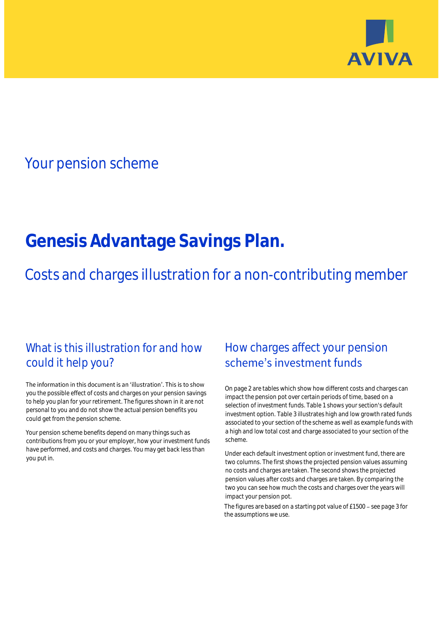

# Your pension scheme

# **Genesis Advantage Savings Plan.**

Costs and charges illustration for a non-contributing member

# What is this illustration for and how could it help you?

#### The information in this document is an 'illustration'. This is to show you the possible effect of costs and charges on your pension savings to help you plan for your retirement. The figures shown in it are not personal to you and do not show the actual pension benefits you could get from the pension scheme.

Your pension scheme benefits depend on many things such as contributions from you or your employer, how your investment funds have performed, and costs and charges. You may get back less than you put in.

# How charges affect your pension scheme's investment funds

On page 2 are tables which show how different costs and charges can impact the pension pot over certain periods of time, based on a selection of investment funds. Table 1 shows your section's default investment option. Table 3 illustrates high and low growth rated funds associated to your section of the scheme as well as example funds with a high and low total cost and charge associated to your section of the scheme.

Under each default investment option or investment fund, there are two columns. The first shows the projected pension values assuming no costs and charges are taken. The second shows the projected pension values after costs and charges are taken. By comparing the two you can see how much the costs and charges over the years will impact your pension pot.

The figures are based on a starting pot value of  $£1500 -$  see page 3 for the assumptions we use.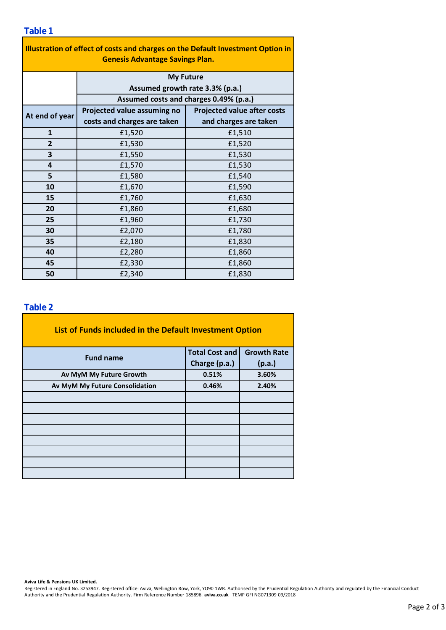### **Table 1**

| Illustration of effect of costs and charges on the Default Investment Option in<br><b>Genesis Advantage Savings Plan.</b> |                                        |                                    |  |  |  |  |  |  |
|---------------------------------------------------------------------------------------------------------------------------|----------------------------------------|------------------------------------|--|--|--|--|--|--|
|                                                                                                                           | <b>My Future</b>                       |                                    |  |  |  |  |  |  |
|                                                                                                                           | Assumed growth rate 3.3% (p.a.)        |                                    |  |  |  |  |  |  |
|                                                                                                                           | Assumed costs and charges 0.49% (p.a.) |                                    |  |  |  |  |  |  |
| At end of year                                                                                                            | Projected value assuming no            | <b>Projected value after costs</b> |  |  |  |  |  |  |
|                                                                                                                           | costs and charges are taken            | and charges are taken              |  |  |  |  |  |  |
| $\mathbf{1}$                                                                                                              | £1,520                                 | £1,510                             |  |  |  |  |  |  |
| $\overline{2}$                                                                                                            | £1,530                                 | £1,520                             |  |  |  |  |  |  |
| 3                                                                                                                         | £1,550                                 | £1,530                             |  |  |  |  |  |  |
| 4                                                                                                                         | £1,570                                 | £1,530                             |  |  |  |  |  |  |
| 5                                                                                                                         | £1,580                                 | £1,540                             |  |  |  |  |  |  |
| 10                                                                                                                        | £1,670                                 | £1,590                             |  |  |  |  |  |  |
| 15                                                                                                                        | £1,760                                 | £1,630                             |  |  |  |  |  |  |
| 20                                                                                                                        | £1,860                                 | £1,680                             |  |  |  |  |  |  |
| 25                                                                                                                        | £1,960                                 | £1,730                             |  |  |  |  |  |  |
| 30                                                                                                                        | £2,070                                 | £1,780                             |  |  |  |  |  |  |
| 35                                                                                                                        | £2,180                                 | £1,830                             |  |  |  |  |  |  |
| 40                                                                                                                        | £2,280                                 | £1,860                             |  |  |  |  |  |  |
| 45                                                                                                                        | £2,330                                 | £1,860                             |  |  |  |  |  |  |
| 50                                                                                                                        | £2,340                                 | £1,830                             |  |  |  |  |  |  |

### **Table 2**

| List of Funds included in the Default Investment Option |                       |                    |  |  |  |  |  |  |  |
|---------------------------------------------------------|-----------------------|--------------------|--|--|--|--|--|--|--|
| <b>Fund name</b>                                        | <b>Total Cost and</b> | <b>Growth Rate</b> |  |  |  |  |  |  |  |
|                                                         | Charge (p.a.)         | (p.a.)             |  |  |  |  |  |  |  |
| Av MyM My Future Growth                                 | 0.51%                 | 3.60%              |  |  |  |  |  |  |  |
| Av MyM My Future Consolidation                          | 0.46%                 | 2.40%              |  |  |  |  |  |  |  |
|                                                         |                       |                    |  |  |  |  |  |  |  |
|                                                         |                       |                    |  |  |  |  |  |  |  |
|                                                         |                       |                    |  |  |  |  |  |  |  |
|                                                         |                       |                    |  |  |  |  |  |  |  |
|                                                         |                       |                    |  |  |  |  |  |  |  |
|                                                         |                       |                    |  |  |  |  |  |  |  |
|                                                         |                       |                    |  |  |  |  |  |  |  |
|                                                         |                       |                    |  |  |  |  |  |  |  |

#### **Aviva Life & Pensions UK Limited.**

Registered in England No. 3253947. Registered office: Aviva, Wellington Row, York, YO90 1WR. Authorised by the Prudential Regulation Authority and regulated by the Financial Conduct Authority and the Prudential Regulation Authority. Firm Reference Number 185896. **aviva.co.uk** TEMP GFI NG071309 09/2018